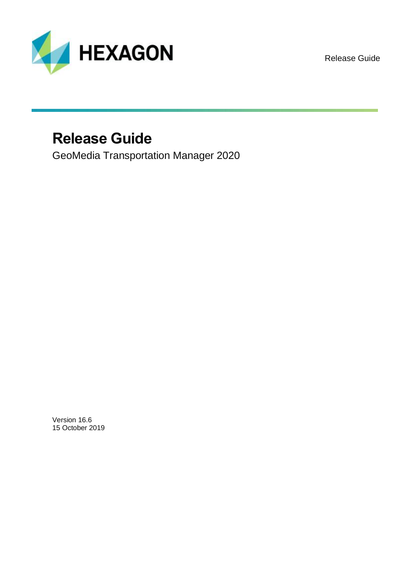

Release Guide

# **Release Guide**

GeoMedia Transportation Manager 2020

Version 16.6 15 October 2019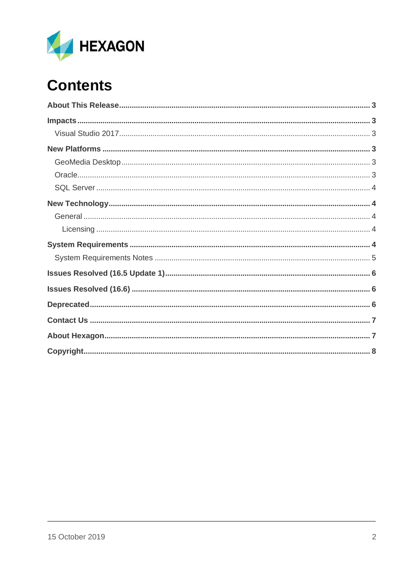

# **Contents**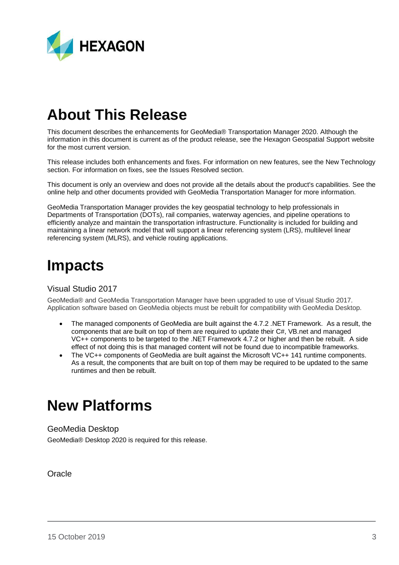

## <span id="page-2-0"></span>**About This Release**

This document describes the enhancements for GeoMedia® Transportation Manager 2020. Although the information in this document is current as of the product release, see the Hexagon Geospatial Support website for the most current version.

This release includes both enhancements and fixes. For information on new features, see the New Technology section. For information on fixes, see the Issues Resolved section.

This document is only an overview and does not provide all the details about the product's capabilities. See the online help and other documents provided with GeoMedia Transportation Manager for more information.

GeoMedia Transportation Manager provides the key geospatial technology to help professionals in Departments of Transportation (DOTs), rail companies, waterway agencies, and pipeline operations to efficiently analyze and maintain the transportation infrastructure. Functionality is included for building and maintaining a linear network model that will support a linear referencing system (LRS), multilevel linear referencing system (MLRS), and vehicle routing applications.

## <span id="page-2-1"></span>**Impacts**

## <span id="page-2-2"></span>Visual Studio 2017

GeoMedia® and GeoMedia Transportation Manager have been upgraded to use of Visual Studio 2017. Application software based on GeoMedia objects must be rebuilt for compatibility with GeoMedia Desktop.

- The managed components of GeoMedia are built against the 4.7.2 .NET Framework. As a result, the components that are built on top of them are required to update their C#, VB.net and managed VC++ components to be targeted to the .NET Framework 4.7.2 or higher and then be rebuilt. A side effect of not doing this is that managed content will not be found due to incompatible frameworks.
- The VC++ components of GeoMedia are built against the Microsoft VC++ 141 runtime components. As a result, the components that are built on top of them may be required to be updated to the same runtimes and then be rebuilt.

## <span id="page-2-3"></span>**New Platforms**

<span id="page-2-4"></span>GeoMedia Desktop GeoMedia® Desktop 2020 is required for this release.

<span id="page-2-5"></span>**Oracle**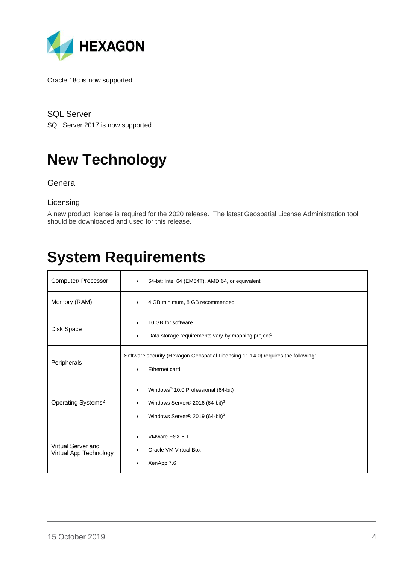

Oracle 18c is now supported.

<span id="page-3-0"></span>SQL Server SQL Server 2017 is now supported.

# <span id="page-3-1"></span>**New Technology**

<span id="page-3-2"></span>**General** 

### <span id="page-3-3"></span>Licensing

A new product license is required for the 2020 release. The latest Geospatial License Administration tool should be downloaded and used for this release.

## <span id="page-3-4"></span>**System Requirements**

| Computer/ Processor                          | 64-bit: Intel 64 (EM64T), AMD 64, or equivalent<br>٠                                                                                                                  |  |
|----------------------------------------------|-----------------------------------------------------------------------------------------------------------------------------------------------------------------------|--|
| Memory (RAM)                                 | 4 GB minimum, 8 GB recommended                                                                                                                                        |  |
| Disk Space                                   | 10 GB for software<br>Data storage requirements vary by mapping project <sup>1</sup><br>٠                                                                             |  |
| Peripherals                                  | Software security (Hexagon Geospatial Licensing 11.14.0) requires the following:<br>Ethernet card<br>$\bullet$                                                        |  |
| Operating Systems <sup>2</sup>               | Windows <sup>®</sup> 10.0 Professional (64-bit)<br>$\bullet$<br>Windows Server® 2016 (64-bit) <sup>2</sup><br>$\bullet$<br>Windows Server® 2019 (64-bit) <sup>2</sup> |  |
| Virtual Server and<br>Virtual App Technology | VMware ESX 5.1<br>Oracle VM Virtual Box<br>XenApp 7.6                                                                                                                 |  |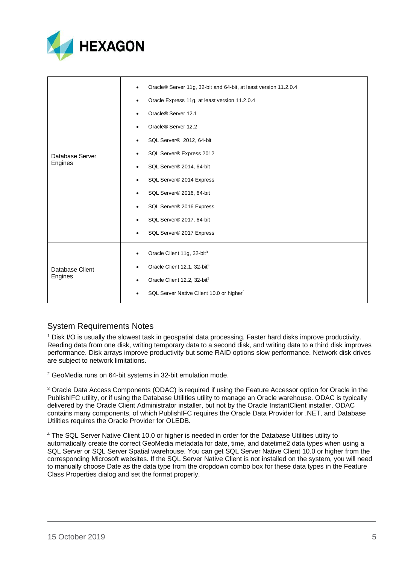

|                 | Oracle® Server 11g, 32-bit and 64-bit, at least version 11.2.0.4 |  |  |  |
|-----------------|------------------------------------------------------------------|--|--|--|
|                 | Oracle Express 11g, at least version 11.2.0.4                    |  |  |  |
|                 | Oracle® Server 12.1                                              |  |  |  |
|                 | Oracle® Server 12.2                                              |  |  |  |
|                 | SQL Server® 2012, 64-bit                                         |  |  |  |
| Database Server | SQL Server® Express 2012                                         |  |  |  |
| Engines         | SQL Server® 2014, 64-bit                                         |  |  |  |
|                 | SQL Server® 2014 Express                                         |  |  |  |
|                 | SQL Server® 2016, 64-bit                                         |  |  |  |
|                 | SQL Server® 2016 Express                                         |  |  |  |
|                 | SQL Server® 2017, 64-bit                                         |  |  |  |
|                 | SQL Server® 2017 Express                                         |  |  |  |
|                 | Oracle Client 11g, 32-bit <sup>3</sup>                           |  |  |  |
| Database Client | Oracle Client 12.1, 32-bit <sup>3</sup>                          |  |  |  |
| Engines         | Oracle Client 12.2, 32-bit <sup>3</sup>                          |  |  |  |
|                 | SQL Server Native Client 10.0 or higher <sup>4</sup>             |  |  |  |

## <span id="page-4-0"></span>System Requirements Notes

<sup>1</sup> Disk I/O is usually the slowest task in geospatial data processing. Faster hard disks improve productivity. Reading data from one disk, writing temporary data to a second disk, and writing data to a third disk improves performance. Disk arrays improve productivity but some RAID options slow performance. Network disk drives are subject to network limitations.

<sup>2</sup> GeoMedia runs on 64-bit systems in 32-bit emulation mode.

<sup>3</sup> Oracle Data Access Components (ODAC) is required if using the Feature Accessor option for Oracle in the PublishIFC utility, or if using the Database Utilities utility to manage an Oracle warehouse. ODAC is typically delivered by the Oracle Client Administrator installer, but not by the Oracle InstantClient installer. ODAC contains many components, of which PublishIFC requires the Oracle Data Provider for .NET, and Database Utilities requires the Oracle Provider for OLEDB.

<sup>4</sup> The SQL Server Native Client 10.0 or higher is needed in order for the Database Utilities utility to automatically create the correct GeoMedia metadata for date, time, and datetime2 data types when using a SQL Server or SQL Server Spatial warehouse. You can get SQL Server Native Client 10.0 or higher from the corresponding Microsoft websites. If the SQL Server Native Client is not installed on the system, you will need to manually choose Date as the data type from the dropdown combo box for these data types in the Feature Class Properties dialog and set the format properly.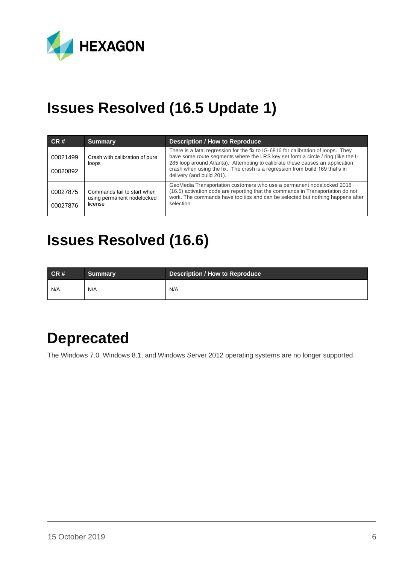

# <span id="page-5-0"></span>**Issues Resolved (16.5 Update 1)**

| CR#                  | <b>Summary</b>                                                       | Description / How to Reproduce                                                                                                                                                                                                                                                                                                                                      |
|----------------------|----------------------------------------------------------------------|---------------------------------------------------------------------------------------------------------------------------------------------------------------------------------------------------------------------------------------------------------------------------------------------------------------------------------------------------------------------|
| 00021499<br>00020892 | Crash with calibration of pure<br>loops                              | There is a fatal regression for the fix to IG-6816 for calibration of loops. They<br>have some route segments where the LRS key set form a circle / ring (like the I-<br>285 loop around Atlanta). Attempting to calibrate these causes an application<br>crash when using the fix. The crash is a regression from build 169 that's in<br>delivery (and build 201). |
| 00027875<br>00027876 | Commands fail to start when<br>using permanent nodelocked<br>license | GeoMedia Transportation customers who use a permanent nodelocked 2018<br>(16.5) activation code are reporting that the commands in Transportation do not<br>work. The commands have tooltips and can be selected but nothing happens after<br>selection.                                                                                                            |

## <span id="page-5-1"></span>**Issues Resolved (16.6)**

| CR# | <b>Summary</b> | Description / How to Reproduce |
|-----|----------------|--------------------------------|
| N/A | N/A            | N/A                            |

## <span id="page-5-2"></span>**Deprecated**

The Windows 7.0, Windows 8.1, and Windows Server 2012 operating systems are no longer supported.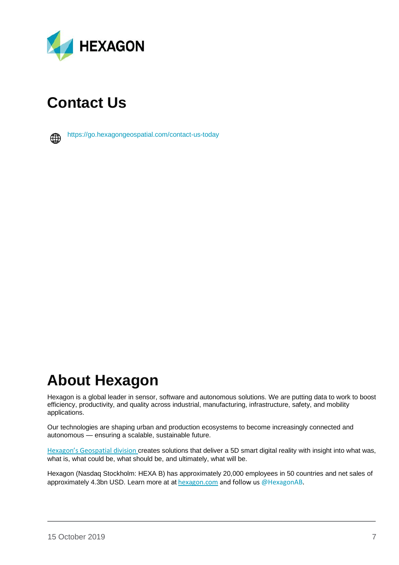

## <span id="page-6-0"></span>**Contact Us**



<https://go.hexagongeospatial.com/contact-us-today>

## <span id="page-6-1"></span>**About Hexagon**

Hexagon is a global leader in sensor, software and autonomous solutions. We are putting data to work to boost efficiency, productivity, and quality across industrial, manufacturing, infrastructure, safety, and mobility applications.

Our technologies are shaping urban and production ecosystems to become increasingly connected and autonomous — ensuring a scalable, sustainable future.

[Hexagon's Geospatial division](https://www.hexagongeospatial.com/) creates solutions that deliver a 5D smart digital reality with insight into what was, what is, what could be, what should be, and ultimately, what will be.

Hexagon (Nasdaq Stockholm: HEXA B) has approximately 20,000 employees in 50 countries and net sales of approximately 4.3bn USD. Learn more at at [hexagon.com](https://hexagon.com/) and follow us [@HexagonAB.](https://twitter.com/hexagonab)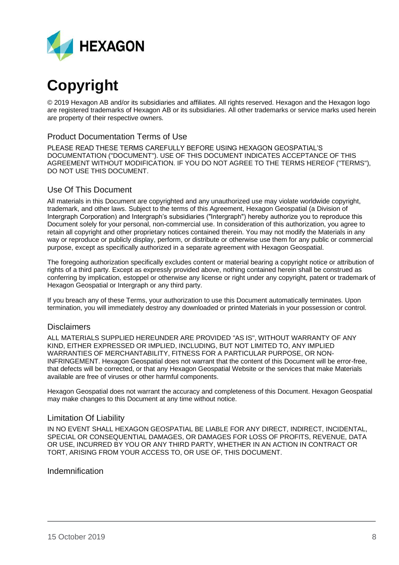

# <span id="page-7-0"></span>**Copyright**

© 2019 Hexagon AB and/or its subsidiaries and affiliates. All rights reserved. Hexagon and the Hexagon logo are registered trademarks of Hexagon AB or its subsidiaries. All other trademarks or service marks used herein are property of their respective owners.

### Product Documentation Terms of Use

PLEASE READ THESE TERMS CAREFULLY BEFORE USING HEXAGON GEOSPATIAL'S DOCUMENTATION ("DOCUMENT"). USE OF THIS DOCUMENT INDICATES ACCEPTANCE OF THIS AGREEMENT WITHOUT MODIFICATION. IF YOU DO NOT AGREE TO THE TERMS HEREOF ("TERMS"), DO NOT USE THIS DOCUMENT.

### Use Of This Document

All materials in this Document are copyrighted and any unauthorized use may violate worldwide copyright, trademark, and other laws. Subject to the terms of this Agreement, Hexagon Geospatial (a Division of Intergraph Corporation) and Intergraph's subsidiaries ("Intergraph") hereby authorize you to reproduce this Document solely for your personal, non-commercial use. In consideration of this authorization, you agree to retain all copyright and other proprietary notices contained therein. You may not modify the Materials in any way or reproduce or publicly display, perform, or distribute or otherwise use them for any public or commercial purpose, except as specifically authorized in a separate agreement with Hexagon Geospatial.

The foregoing authorization specifically excludes content or material bearing a copyright notice or attribution of rights of a third party. Except as expressly provided above, nothing contained herein shall be construed as conferring by implication, estoppel or otherwise any license or right under any copyright, patent or trademark of Hexagon Geospatial or Intergraph or any third party.

If you breach any of these Terms, your authorization to use this Document automatically terminates. Upon termination, you will immediately destroy any downloaded or printed Materials in your possession or control.

### **Disclaimers**

ALL MATERIALS SUPPLIED HEREUNDER ARE PROVIDED "AS IS", WITHOUT WARRANTY OF ANY KIND, EITHER EXPRESSED OR IMPLIED, INCLUDING, BUT NOT LIMITED TO, ANY IMPLIED WARRANTIES OF MERCHANTABILITY, FITNESS FOR A PARTICULAR PURPOSE, OR NON-INFRINGEMENT. Hexagon Geospatial does not warrant that the content of this Document will be error-free, that defects will be corrected, or that any Hexagon Geospatial Website or the services that make Materials available are free of viruses or other harmful components.

Hexagon Geospatial does not warrant the accuracy and completeness of this Document. Hexagon Geospatial may make changes to this Document at any time without notice.

### Limitation Of Liability

IN NO EVENT SHALL HEXAGON GEOSPATIAL BE LIABLE FOR ANY DIRECT, INDIRECT, INCIDENTAL, SPECIAL OR CONSEQUENTIAL DAMAGES, OR DAMAGES FOR LOSS OF PROFITS, REVENUE, DATA OR USE, INCURRED BY YOU OR ANY THIRD PARTY, WHETHER IN AN ACTION IN CONTRACT OR TORT, ARISING FROM YOUR ACCESS TO, OR USE OF, THIS DOCUMENT.

#### Indemnification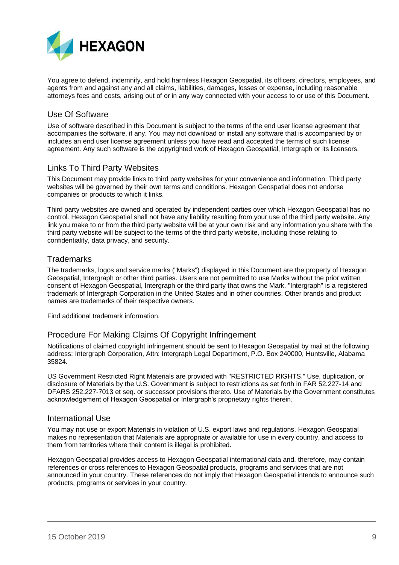

You agree to defend, indemnify, and hold harmless Hexagon Geospatial, its officers, directors, employees, and agents from and against any and all claims, liabilities, damages, losses or expense, including reasonable attorneys fees and costs, arising out of or in any way connected with your access to or use of this Document.

## Use Of Software

Use of software described in this Document is subject to the terms of the end user license agreement that accompanies the software, if any. You may not download or install any software that is accompanied by or includes an end user license agreement unless you have read and accepted the terms of such license agreement. Any such software is the copyrighted work of Hexagon Geospatial, Intergraph or its licensors.

## Links To Third Party Websites

This Document may provide links to third party websites for your convenience and information. Third party websites will be governed by their own terms and conditions. Hexagon Geospatial does not endorse companies or products to which it links.

Third party websites are owned and operated by independent parties over which Hexagon Geospatial has no control. Hexagon Geospatial shall not have any liability resulting from your use of the third party website. Any link you make to or from the third party website will be at your own risk and any information you share with the third party website will be subject to the terms of the third party website, including those relating to confidentiality, data privacy, and security.

### **Trademarks**

The trademarks, logos and service marks ("Marks") displayed in this Document are the property of Hexagon Geospatial, Intergraph or other third parties. Users are not permitted to use Marks without the prior written consent of Hexagon Geospatial, Intergraph or the third party that owns the Mark. "Intergraph" is a registered trademark of Intergraph Corporation in the United States and in other countries. Other brands and product names are trademarks of their respective owners.

Find additional trademark information.

## Procedure For Making Claims Of Copyright Infringement

Notifications of claimed copyright infringement should be sent to Hexagon Geospatial by mail at the following address: Intergraph Corporation, Attn: Intergraph Legal Department, P.O. Box 240000, Huntsville, Alabama 35824.

US Government Restricted Right Materials are provided with "RESTRICTED RIGHTS." Use, duplication, or disclosure of Materials by the U.S. Government is subject to restrictions as set forth in FAR 52.227-14 and DFARS 252.227-7013 et seq. or successor provisions thereto. Use of Materials by the Government constitutes acknowledgement of Hexagon Geospatial or Intergraph's proprietary rights therein.

### International Use

You may not use or export Materials in violation of U.S. export laws and regulations. Hexagon Geospatial makes no representation that Materials are appropriate or available for use in every country, and access to them from territories where their content is illegal is prohibited.

Hexagon Geospatial provides access to Hexagon Geospatial international data and, therefore, may contain references or cross references to Hexagon Geospatial products, programs and services that are not announced in your country. These references do not imply that Hexagon Geospatial intends to announce such products, programs or services in your country.